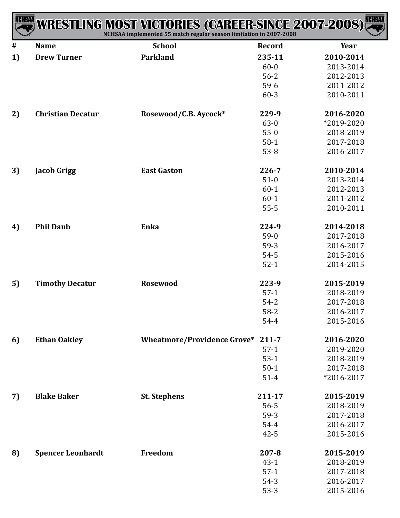| <b>NCHSAA</b> |                          | <b>WRESTLING MOST VICTORIES (CAREER-SINCE 2007-2008)</b><br>NCHSAA implemented 55 match regular season limitation in 2007-2008 |               | <b>NCHSAA</b> |
|---------------|--------------------------|--------------------------------------------------------------------------------------------------------------------------------|---------------|---------------|
| #             | <b>Name</b>              | <b>School</b>                                                                                                                  | <b>Record</b> | Year          |
| 1)            | <b>Drew Turner</b>       | <b>Parkland</b>                                                                                                                | 235-11        | 2010-2014     |
|               |                          |                                                                                                                                | $60 - 0$      | 2013-2014     |
|               |                          |                                                                                                                                | $56 - 2$      | 2012-2013     |
|               |                          |                                                                                                                                | $59-6$        | 2011-2012     |
|               |                          |                                                                                                                                | $60 - 3$      | 2010-2011     |
| 2)            | <b>Christian Decatur</b> | Rosewood/C.B. Aycock*                                                                                                          | 229-9         | 2016-2020     |
|               |                          |                                                                                                                                | $63-0$        | *2019-2020    |
|               |                          |                                                                                                                                | $55-0$        | 2018-2019     |
|               |                          |                                                                                                                                | $58-1$        | 2017-2018     |
|               |                          |                                                                                                                                | $53 - 8$      | 2016-2017     |
| 3)            | <b>Jacob Grigg</b>       | <b>East Gaston</b>                                                                                                             | $226 - 7$     | 2010-2014     |
|               |                          |                                                                                                                                | $51-0$        | 2013-2014     |
|               |                          |                                                                                                                                | $60-1$        | 2012-2013     |
|               |                          |                                                                                                                                | $60 - 1$      | 2011-2012     |
|               |                          |                                                                                                                                | $55 - 5$      | 2010-2011     |
| 4)            | <b>Phil Daub</b>         | Enka                                                                                                                           | 224-9         | 2014-2018     |
|               |                          |                                                                                                                                | $59-0$        | 2017-2018     |
|               |                          |                                                                                                                                | $59-3$        | 2016-2017     |
|               |                          |                                                                                                                                | 54-5          | 2015-2016     |
|               |                          |                                                                                                                                | $52-1$        | 2014-2015     |
| 5)            | <b>Timothy Decatur</b>   | <b>Rosewood</b>                                                                                                                | 223-9         | 2015-2019     |
|               |                          |                                                                                                                                | $57-1$        | 2018-2019     |
|               |                          |                                                                                                                                | $54 - 2$      | 2017-2018     |
|               |                          |                                                                                                                                | $58-2$        | 2016-2017     |
|               |                          |                                                                                                                                | 54-4          | 2015-2016     |
| 6)            | <b>Ethan Oakley</b>      | <b>Wheatmore/Providence Grove*</b>                                                                                             | $211 - 7$     | 2016-2020     |
|               |                          |                                                                                                                                | $57-1$        | 2019-2020     |
|               |                          |                                                                                                                                | $53-1$        | 2018-2019     |
|               |                          |                                                                                                                                | $50-1$        | 2017-2018     |
|               |                          |                                                                                                                                | $51 - 4$      | *2016-2017    |
| 7)            | <b>Blake Baker</b>       | <b>St. Stephens</b>                                                                                                            | 211-17        | 2015-2019     |
|               |                          |                                                                                                                                | $56 - 5$      | 2018-2019     |
|               |                          |                                                                                                                                | $59-3$        | 2017-2018     |
|               |                          |                                                                                                                                | 54-4          | 2016-2017     |
|               |                          |                                                                                                                                | $42 - 5$      | 2015-2016     |
| 8)            | <b>Spencer Leonhardt</b> | Freedom                                                                                                                        | $207 - 8$     | 2015-2019     |
|               |                          |                                                                                                                                | $43 - 1$      | 2018-2019     |
|               |                          |                                                                                                                                | $57-1$        | 2017-2018     |
|               |                          |                                                                                                                                | $54-3$        | 2016-2017     |
|               |                          |                                                                                                                                | $53-3$        | 2015-2016     |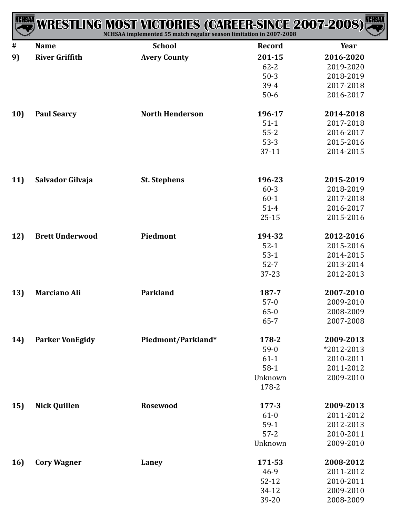| ICHSAA | <b>WRESTLING MOST VICTORIES (CAREER-SINCE 2007-2008)</b> | NCHSAA implemented 55 match regular season limitation in 2007-2008 |                  | <b>NCHSAA</b> |
|--------|----------------------------------------------------------|--------------------------------------------------------------------|------------------|---------------|
| #      | <b>Name</b>                                              | <b>School</b>                                                      | <b>Record</b>    | Year          |
| 9)     | <b>River Griffith</b>                                    | <b>Avery County</b>                                                | 201-15           | 2016-2020     |
|        |                                                          |                                                                    | $62 - 2$         | 2019-2020     |
|        |                                                          |                                                                    | $50-3$           | 2018-2019     |
|        |                                                          |                                                                    | 39-4             | 2017-2018     |
|        |                                                          |                                                                    | $50-6$           | 2016-2017     |
| 10)    | <b>Paul Searcy</b>                                       | <b>North Henderson</b>                                             | 196-17           | 2014-2018     |
|        |                                                          |                                                                    | $51-1$           | 2017-2018     |
|        |                                                          |                                                                    | $55 - 2$         | 2016-2017     |
|        |                                                          |                                                                    | $53-3$           | 2015-2016     |
|        |                                                          |                                                                    | $37-11$          | 2014-2015     |
| 11)    | Salvador Gilvaja                                         | <b>St. Stephens</b>                                                | 196-23           | 2015-2019     |
|        |                                                          |                                                                    | $60 - 3$         | 2018-2019     |
|        |                                                          |                                                                    | $60 - 1$         | 2017-2018     |
|        |                                                          |                                                                    | $51 - 4$         | 2016-2017     |
|        |                                                          |                                                                    | $25 - 15$        | 2015-2016     |
| 12)    | <b>Brett Underwood</b>                                   | Piedmont                                                           | 194-32           | 2012-2016     |
|        |                                                          |                                                                    | $52-1$           | 2015-2016     |
|        |                                                          |                                                                    | $53-1$           | 2014-2015     |
|        |                                                          |                                                                    | $52 - 7$         | 2013-2014     |
|        |                                                          |                                                                    | 37-23            | 2012-2013     |
| 13)    | <b>Marciano Ali</b>                                      | Parkland                                                           | 187-7            | 2007-2010     |
|        |                                                          |                                                                    | $57-0$           | 2009-2010     |
|        |                                                          |                                                                    | $65 - 0$         | 2008-2009     |
|        |                                                          |                                                                    | $65 - 7$         | 2007-2008     |
| 14)    | <b>Parker VonEgidy</b>                                   | Piedmont/Parkland*                                                 | 178-2            | 2009-2013     |
|        |                                                          |                                                                    | $59-0$           | *2012-2013    |
|        |                                                          |                                                                    | $61-1$           | 2010-2011     |
|        |                                                          |                                                                    | $58-1$           | 2011-2012     |
|        |                                                          |                                                                    | Unknown<br>178-2 | 2009-2010     |
| 15)    | <b>Nick Quillen</b>                                      | <b>Rosewood</b>                                                    | $177 - 3$        | 2009-2013     |
|        |                                                          |                                                                    | $61-0$           | 2011-2012     |
|        |                                                          |                                                                    | $59-1$           | 2012-2013     |
|        |                                                          |                                                                    | $57 - 2$         | 2010-2011     |
|        |                                                          |                                                                    | Unknown          | 2009-2010     |
| 16)    | <b>Cory Wagner</b>                                       | Laney                                                              | 171-53           | 2008-2012     |
|        |                                                          |                                                                    | $46-9$           | 2011-2012     |
|        |                                                          |                                                                    | $52 - 12$        | 2010-2011     |
|        |                                                          |                                                                    | 34-12            | 2009-2010     |
|        |                                                          |                                                                    | 39-20            | 2008-2009     |